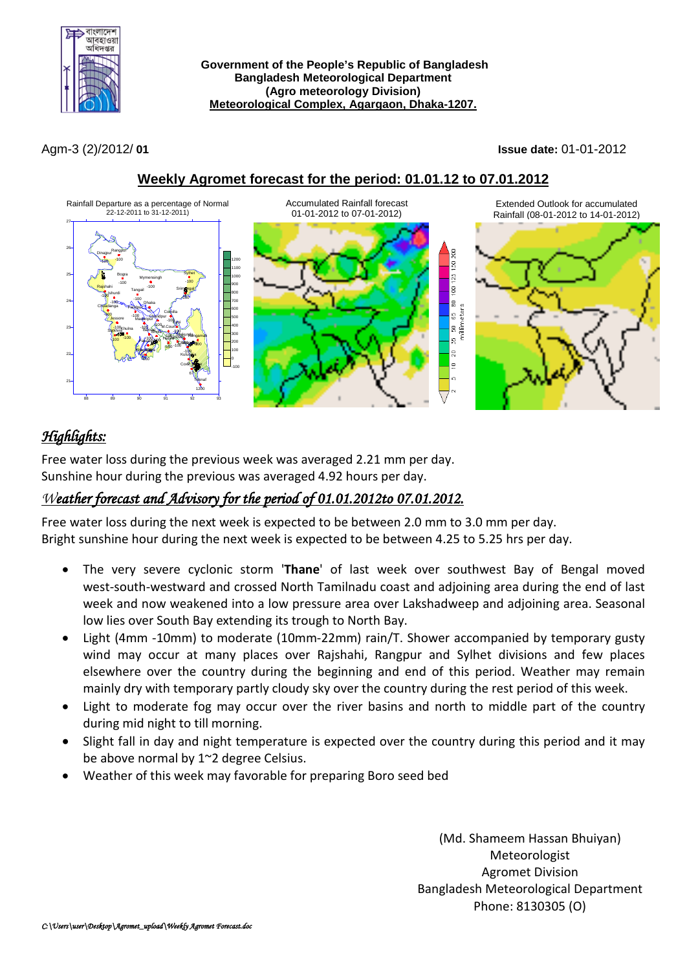

**Government of the People's Republic of Bangladesh Bangladesh Meteorological Department (Agro meteorology Division) Meteorological Complex, Agargaon, Dhaka-1207.**

Agm-3 (2)/2012/ **01 Issue date:** 01-01-2012



### **Weekly Agromet forecast for the period: 01.01.12 to 07.01.2012**

# *Highlights:*

Free water loss during the previous week was averaged 2.21 mm per day. Sunshine hour during the previous was averaged 4.92 hours per day.

## *Weather forecast and Advisory for the period of 01.01.2012to 07.01.2012.*

Free water loss during the next week is expected to be between 2.0 mm to 3.0 mm per day. Bright sunshine hour during the next week is expected to be between 4.25 to 5.25 hrs per day.

- The very severe cyclonic storm '**Thane**' of last week over southwest Bay of Bengal moved west-south-westward and crossed North Tamilnadu coast and adjoining area during the end of last week and now weakened into a low pressure area over Lakshadweep and adjoining area. Seasonal low lies over South Bay extending its trough to North Bay.
- Light (4mm -10mm) to moderate (10mm-22mm) rain/T. Shower accompanied by temporary gusty wind may occur at many places over Rajshahi, Rangpur and Sylhet divisions and few places elsewhere over the country during the beginning and end of this period. Weather may remain mainly dry with temporary partly cloudy sky over the country during the rest period of this week.
- Light to moderate fog may occur over the river basins and north to middle part of the country during mid night to till morning.
- Slight fall in day and night temperature is expected over the country during this period and it may be above normal by 1~2 degree Celsius.
- Weather of this week may favorable for preparing Boro seed bed

(Md. Shameem Hassan Bhuiyan) Meteorologist Agromet Division Bangladesh Meteorological Department Phone: 8130305 (O)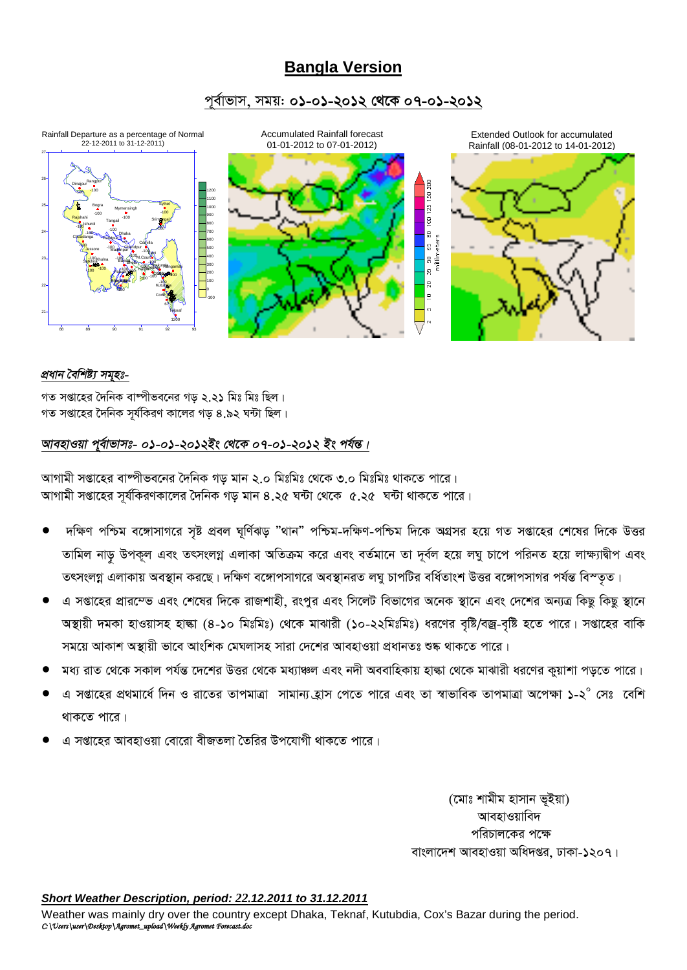## **Bangla Version**

### পর্বাভাস, সময়: ০১-০১-২০১২ থেকে ০৭-০১-২০১২



#### প্ৰধান বৈশিষ্ট্য সমহঃ-

গত সপ্তাহের দৈনিক বাষ্পীভবনের গড় ২.২১ মিঃ মিঃ ছিল। গত সপ্তাহের দৈনিক সর্যকিরণ কালের গড় ৪.৯২ ঘন্টা ছিল।

### আবহাওয়া পুর্বাভাসঃ- ০১-০১-২০১২ইং থেকে ০৭-০১-২০১২ ইং পর্যন্ত।

আগামী সপ্তাহের বাষ্পীভবনের দৈনিক গড মান ২.০ মিঃমিঃ থেকে ৩.০ মিঃমিঃ থাকতে পারে। আগামী সপ্তাহের সূর্যকিরণকালের দৈনিক গড় মান ৪.২৫ ঘন্টা থেকে ৫.২৫ ঘন্টা থাকতে পারে।

- দক্ষিণ পশ্চিম বঙ্গোসাগরে সৃষ্ট প্রবল ঘূর্ণিঝড় "থান" পশ্চিম-দক্ষিণ-পশ্চিম দিকে অগ্রসর হয়ে গত সপ্তাহের শেষের দিকে উত্তর তামিল নাড় উপকূল এবং তৎসংলগ্ন এলাকা অতিক্রম করে এবং বর্তমানে তা দূর্বল হয়ে লঘু চাপে পরিনত হয়ে লাক্ষ্যাদ্বীপ এবং তৎসংলগ্ন এলাকায় অবস্থান করছে। দক্ষিণ বঙ্গোপসাগরে অবস্থানরত লঘু চাপটির বর্ধিতাংশ উত্তর বঙ্গোপসাগর পর্যন্ত বিস্তৃত।
- এ সপ্তাহের প্রারম্ভে এবং শেষের দিকে রাজশাহী, রংপুর এবং সিলেট বিভাগের অনেক স্থানে এবং দেশের অন্যত্র কিছু কিছু স্থানে অস্থায়ী দমকা হাওয়াসহ হাল্কা (৪-১০ মিঃমিঃ) থেকে মাঝারী (১০-২২মিঃমিঃ) ধরণের বৃষ্টি/বজ্র-বৃষ্টি হতে পারে। সপ্তাহের বাকি সময়ে আকাশ অস্থায়ী ভাবে আংশিক মেঘলাসহ সারা দেশের আবহাওয়া প্রধানতঃ শুষ্ক থাকতে পারে।
- মধ্য রাত থেকে সকাল পর্যন্ত দেশের উত্তর থেকে মধ্যাঞ্চল এবং নদী অববাহিকায় হাল্কা থেকে মাঝারী ধরণের কুয়াশা পড়তে পারে।
- এ সপ্তাহের প্রথমার্ধে দিন ও রাতের তাপমাত্রা সামান্য হ্রাস পেতে পারে এবং তা স্বাভাবিক তাপমাত্রা অপেক্ষা ১-২° সেঃ বেশি থাকতে পারে।
- এ সপ্তাহের আবহাওয়া বোরো বীজতলা তৈরির উপযোগী থাকতে পারে।

(মোঃ শামীম হাসান ভূইয়া) আবহাওয়াবিদ পরিচালকের পক্ষে বাংলাদেশ আবহাওয়া অধিদপ্তর, ঢাকা-১২০৭।

#### Short Weather Description, period: 22.12.2011 to 31.12.2011

Weather was mainly dry over the country except Dhaka, Teknaf, Kutubdia, Cox's Bazar during the period. C:\Users\user\Desktop\Agromet\_upload\Weekfy Agromet Forecast.doc